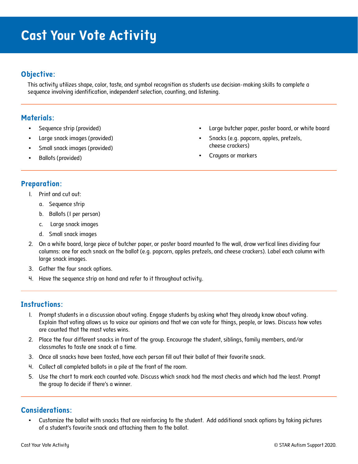# **Cast Your Vote Activity**

# **Objective:**

This activity utilizes shape, color, taste, and symbol recognition as students use decision-making skills to complete a sequence involving identification, independent selection, counting, and listening.

#### **Materials:**

- Sequence strip (provided)
- Large snack images (provided)
- Small snack images (provided)
- Ballots (provided)
- Large butcher paper, poster board, or white board
- Snacks (e.g. popcorn, apples, pretzels, cheese crackers)
- Crayons or markers

# **Preparation:**

- 1. Print and cut out:
	- a. Sequence strip
	- b. Ballots (1 per person)
	- c. Large snack images
	- d. Small snack images
- 2. On a white board, large piece of butcher paper, or poster board mounted to the wall, draw vertical lines dividing four columns: one for each snack on the ballot (e.g. popcorn, apples pretzels, and cheese crackers). Label each column with large snack images.
- 3. Gather the four snack options.
- 4. Have the sequence strip on hand and refer to it throughout activity.

# **Instructions:**

- 1. Prompt students in a discussion about voting. Engage students by asking what they already know about voting. Explain that voting allows us to voice our opinions and that we can vote for things, people, or laws. Discuss how votes are counted that the most votes wins.
- 2. Place the four different snacks in front of the group. Encourage the student, siblings, family members, and/or classmates to taste one snack at a time.
- 3. Once all snacks have been tasted, have each person fill out their ballot of their favorite snack.
- 4. Collect all completed ballots in a pile at the front of the room.
- 5. Use the chart to mark each counted vote. Discuss which snack had the most checks and which had the least. Prompt the group to decide if there's a winner.

# **Considerations:**

• Customize the ballot with snacks that are reinforcing to the student. Add additional snack options by taking pictures of a student's favorite snack and attaching them to the ballot.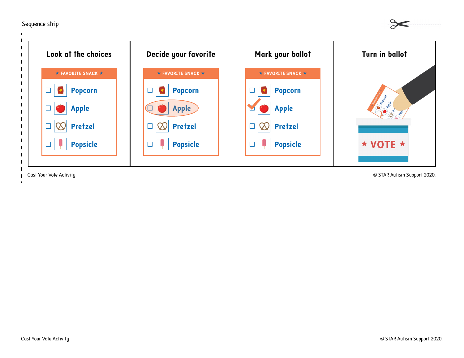Sequence strip

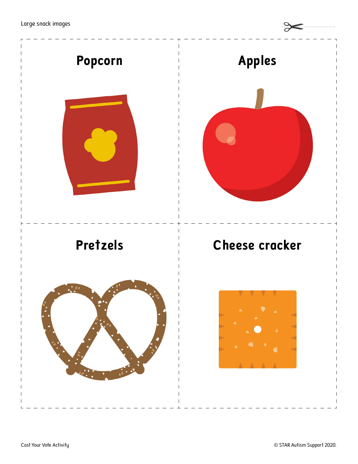Large snack images

 $\approx$ 

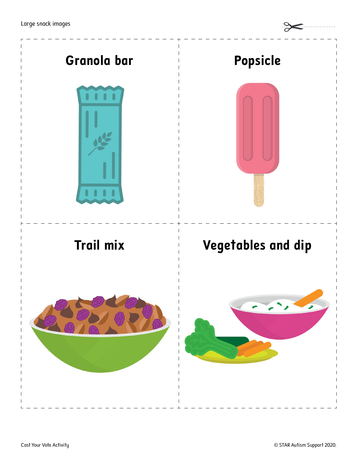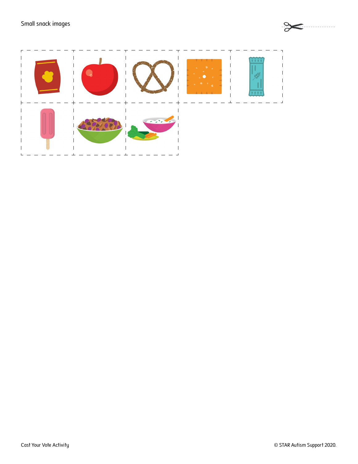